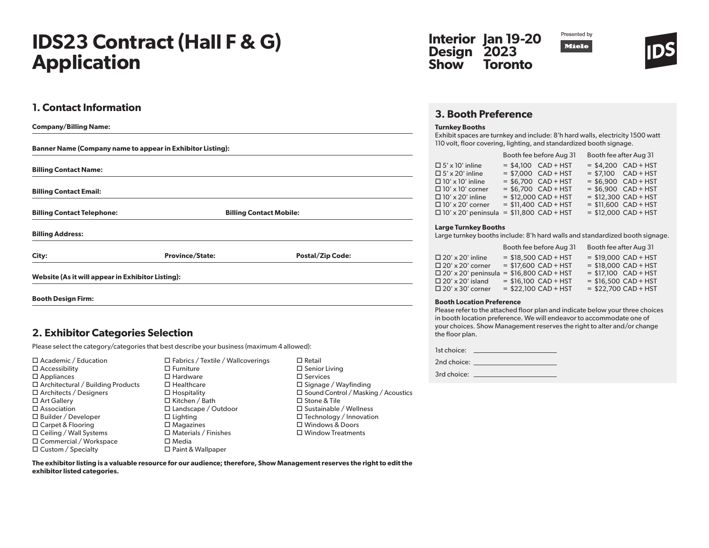# **IDS23 Contract (Hall F & G) Application**

## **1. Contact Information**

| <b>Company/Billing Name:</b>                                      |                        |                                |  |
|-------------------------------------------------------------------|------------------------|--------------------------------|--|
| <b>Banner Name (Company name to appear in Exhibitor Listing):</b> |                        |                                |  |
| <b>Billing Contact Name:</b>                                      |                        |                                |  |
| <b>Billing Contact Email:</b>                                     |                        |                                |  |
| <b>Billing Contact Telephone:</b>                                 |                        | <b>Billing Contact Mobile:</b> |  |
| <b>Billing Address:</b>                                           |                        |                                |  |
| City:                                                             | <b>Province/State:</b> | <b>Postal/Zip Code:</b>        |  |
| Website (As it will appear in Exhibitor Listing):                 |                        |                                |  |
| <b>Booth Design Firm:</b>                                         |                        |                                |  |

### **2. Exhibitor Categories Selection**

Please select the category/categories that best describe your business (maximum 4 allowed):

| $\Box$ Academic / Education              |
|------------------------------------------|
| $\Box$ Accessibility                     |
| $\square$ Appliances                     |
| $\Box$ Architectural / Building Products |
| $\Box$ Architects / Designers            |
| $\Box$ Art Gallery                       |
| $\square$ Association                    |
| $\Box$ Builder / Developer               |
| $\Box$ Carpet & Flooring                 |
| $\Box$ Ceiling / Wall Systems            |
| □ Commercial / Workspace                 |
| $\Box$ Custom / Specialty                |

| $\Box$ Fabrics / Textile / Wallcoverings |
|------------------------------------------|
| $\square$ Furniture                      |
| $\square$ Hardware                       |
| $\Box$ Healthcare                        |
| $\square$ Hospitality                    |
| □ Kitchen / Bath                         |
| $\square$ Landscape / Outdoor            |
| $\Box$ Lighting                          |
| $\square$ Magazines                      |
| $\Box$ Materials / Finishes              |
| $\Box$ Media                             |
| □ Paint & Wallpaper                      |

| $\Box$ Retail                                                        |  |
|----------------------------------------------------------------------|--|
| $\square$ Senior Living<br>$\Box$ Services                           |  |
|                                                                      |  |
| $\Box$ Signage / Wayfinding<br>□ Sound Control / Masking / Acoustics |  |
| $\Box$ Stone & Tile                                                  |  |
| $\Box$ Sustainable / Wellness                                        |  |
| $\Box$ Technology / Innovation                                       |  |
| □ Windows & Doors                                                    |  |
| $\Box$ Window Treatments                                             |  |
|                                                                      |  |

#### **Interior Design Show Jan 19-20 2023 Toronto**





## **3. Booth Preference**

### **Turnkey Booths**

Exhibit spaces are turnkey and include: 8'h hard walls, electricity 1500 watt 110 volt, floor covering, lighting, and standardized booth signage.

|                            | Booth fee before Aug 31 | Booth fee after Aug 31 |                        |
|----------------------------|-------------------------|------------------------|------------------------|
| $\Box$ 5' x 10' inline     | $=$ \$4.100 CAD + HST   |                        | $= $4.200$ CAD + HST   |
| $\Box$ 5' x 20' inline     | $= $7.000$ CAD + HST    |                        | $= $7.100$ CAD + HST   |
| $\Box$ 10' x 10' inline    | $= $6.700$ CAD + HST    |                        | $=$ \$6,900 CAD + HST  |
| $\Box$ 10' x 10' corner    | $= $6.700$ CAD + HST    |                        | $=$ \$6,900 CAD + HST  |
| $\Box$ 10' x 20' inline    | $=$ \$12,000 CAD + HST  |                        | $=$ \$12,300 CAD + HST |
| $\Box$ 10' x 20' corner    | $= $11,400$ CAD + HST   |                        | $= $11.600$ CAD + HST  |
| $\Box$ 10' x 20' peninsula | $= $11,800$ CAD + HST   |                        | $=$ \$12,000 CAD + HST |

### **Large Turnkey Booths**

Large turnkey booths include: 8'h hard walls and standardized booth signage.

|                            | Booth fee before Aug 31 | Booth fee after Aug 31 |
|----------------------------|-------------------------|------------------------|
| $\Box$ 20' x 20' inline    | $= $18,500$ CAD + HST   | $=$ \$19,000 CAD + HST |
| $\Box$ 20' x 20' corner    | $=$ \$17,600 CAD + HST  | $=$ \$18,000 CAD + HST |
| $\Box$ 20' x 20' peninsula | $= $16,800$ CAD + HST   | $= $17.100$ CAD + HST  |
| $\Box$ 20' x 20' island    | $= $16,100$ CAD + HST   | $=$ \$16,500 CAD + HST |
| $\Box$ 20' x 30' corner    | $=$ \$22,100 CAD + HST  | $=$ \$22,700 CAD + HST |

### **Booth Location Preference**

Please refer to the attached floor plan and indicate below your three choices in booth location preference. We will endeavor to accommodate one of your choices. Show Management reserves the right to alter and/or change the floor plan.

| 1st choice: |  |
|-------------|--|
| 2nd choice: |  |
| 3rd choice: |  |

**The exhibitor listing is a valuable resource for our audience; therefore, Show Management reserves the right to edit the exhibitor listed categories.**